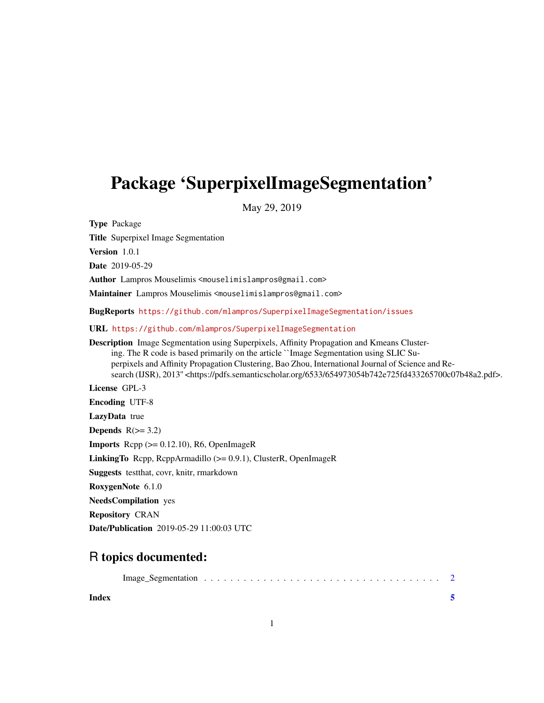## Package 'SuperpixelImageSegmentation'

May 29, 2019

Type Package Title Superpixel Image Segmentation Version 1.0.1 Date 2019-05-29 Author Lampros Mouselimis <mouselimislampros@gmail.com> Maintainer Lampros Mouselimis <mouselimislampros@gmail.com> BugReports <https://github.com/mlampros/SuperpixelImageSegmentation/issues> URL <https://github.com/mlampros/SuperpixelImageSegmentation> Description Image Segmentation using Superpixels, Affinity Propagation and Kmeans Clustering. The R code is based primarily on the article ``Image Segmentation using SLIC Superpixels and Affinity Propagation Clustering, Bao Zhou, International Journal of Science and Research (IJSR), 2013'' <https://pdfs.semanticscholar.org/6533/654973054b742e725fd433265700c07b48a2.pdf>. License GPL-3 Encoding UTF-8 LazyData true Depends  $R(>= 3.2)$ **Imports** Rcpp  $(>= 0.12.10)$ , R6, OpenImageR LinkingTo Rcpp, RcppArmadillo (>= 0.9.1), ClusterR, OpenImageR Suggests testthat, covr, knitr, rmarkdown RoxygenNote 6.1.0 NeedsCompilation yes Repository CRAN Date/Publication 2019-05-29 11:00:03 UTC

### R topics documented:

**Index** [5](#page-4-0). The second state of the second state of the second state of the second state of the second state of the second state of the second state of the second state of the second state of the second state of the second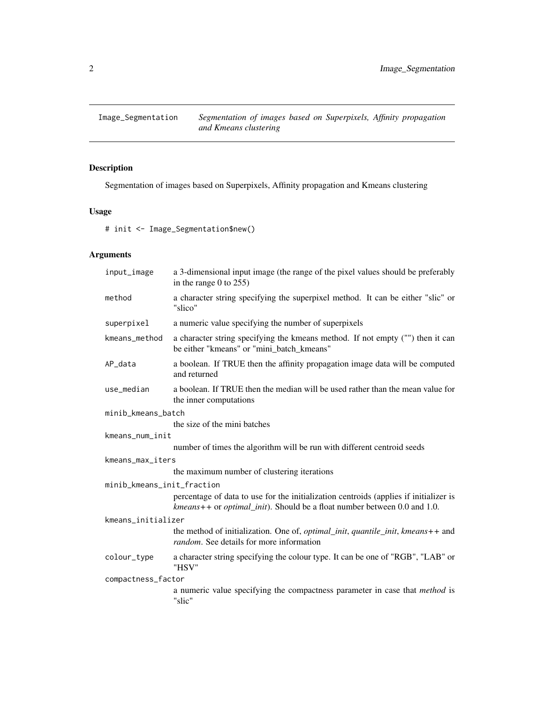<span id="page-1-0"></span>

#### Description

Segmentation of images based on Superpixels, Affinity propagation and Kmeans clustering

#### Usage

# init <- Image\_Segmentation\$new()

#### Arguments

| input_image                | a 3-dimensional input image (the range of the pixel values should be preferably<br>in the range $0$ to $255$ )                                                              |  |  |  |  |  |  |
|----------------------------|-----------------------------------------------------------------------------------------------------------------------------------------------------------------------------|--|--|--|--|--|--|
| method                     | a character string specifying the superpixel method. It can be either "slic" or<br>"slico"                                                                                  |  |  |  |  |  |  |
| superpixel                 | a numeric value specifying the number of superpixels                                                                                                                        |  |  |  |  |  |  |
| kmeans_method              | a character string specifying the kmeans method. If not empty ("") then it can<br>be either "kmeans" or "mini_batch_kmeans"                                                 |  |  |  |  |  |  |
| AP_data                    | a boolean. If TRUE then the affinity propagation image data will be computed<br>and returned                                                                                |  |  |  |  |  |  |
| use_median                 | a boolean. If TRUE then the median will be used rather than the mean value for<br>the inner computations                                                                    |  |  |  |  |  |  |
| minib_kmeans_batch         |                                                                                                                                                                             |  |  |  |  |  |  |
|                            | the size of the mini batches                                                                                                                                                |  |  |  |  |  |  |
| kmeans_num_init            |                                                                                                                                                                             |  |  |  |  |  |  |
|                            | number of times the algorithm will be run with different centroid seeds                                                                                                     |  |  |  |  |  |  |
| kmeans_max_iters           |                                                                                                                                                                             |  |  |  |  |  |  |
|                            | the maximum number of clustering iterations                                                                                                                                 |  |  |  |  |  |  |
| minib_kmeans_init_fraction |                                                                                                                                                                             |  |  |  |  |  |  |
|                            | percentage of data to use for the initialization centroids (applies if initializer is<br>$kmeans++$ or <i>optimal_init</i> ). Should be a float number between 0.0 and 1.0. |  |  |  |  |  |  |
| kmeans_initializer         |                                                                                                                                                                             |  |  |  |  |  |  |
|                            | the method of initialization. One of, <i>optimal_init</i> , <i>quantile_init</i> , <i>kmeans</i> ++ and<br><i>random.</i> See details for more information                  |  |  |  |  |  |  |
| colour_type                | a character string specifying the colour type. It can be one of "RGB", "LAB" or<br>"HSV"                                                                                    |  |  |  |  |  |  |
| compactness_factor         |                                                                                                                                                                             |  |  |  |  |  |  |
|                            | a numeric value specifying the compactness parameter in case that <i>method</i> is<br>"slic"                                                                                |  |  |  |  |  |  |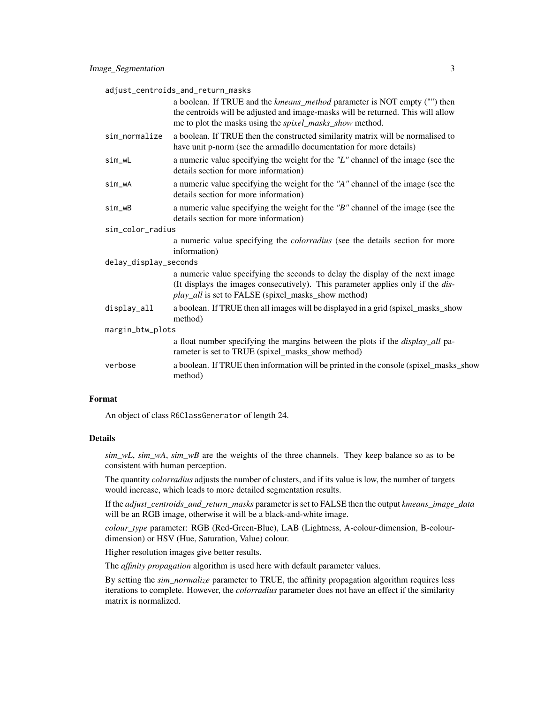adjust\_centroids\_and\_return\_masks

|                       | a boolean. If TRUE and the kmeans_method parameter is NOT empty ("") then<br>the centroids will be adjusted and image-masks will be returned. This will allow<br>me to plot the masks using the <i>spixel_masks_show</i> method.       |
|-----------------------|----------------------------------------------------------------------------------------------------------------------------------------------------------------------------------------------------------------------------------------|
| sim_normalize         | a boolean. If TRUE then the constructed similarity matrix will be normalised to<br>have unit p-norm (see the armadillo documentation for more details)                                                                                 |
| sim_wL                | a numeric value specifying the weight for the "L" channel of the image (see the<br>details section for more information)                                                                                                               |
| sim_wA                | a numeric value specifying the weight for the "A" channel of the image (see the<br>details section for more information)                                                                                                               |
| sim_wB                | a numeric value specifying the weight for the $B''$ channel of the image (see the<br>details section for more information)                                                                                                             |
| sim_color_radius      |                                                                                                                                                                                                                                        |
|                       | a numeric value specifying the <i>colorradius</i> (see the details section for more<br>information)                                                                                                                                    |
| delay_display_seconds |                                                                                                                                                                                                                                        |
|                       | a numeric value specifying the seconds to delay the display of the next image<br>(It displays the images consecutively). This parameter applies only if the <i>dis</i> -<br><i>play_all</i> is set to FALSE (spixel_masks_show method) |
| display_all           | a boolean. If TRUE then all images will be displayed in a grid (spixel_masks_show<br>method)                                                                                                                                           |
| margin_btw_plots      |                                                                                                                                                                                                                                        |
|                       | a float number specifying the margins between the plots if the <i>display_all</i> pa-<br>rameter is set to TRUE (spixel_masks_show method)                                                                                             |
| verbose               | a boolean. If TRUE then information will be printed in the console (spixel_masks_show<br>method)                                                                                                                                       |
|                       |                                                                                                                                                                                                                                        |

#### Format

An object of class R6ClassGenerator of length 24.

#### Details

*sim\_wL*, *sim\_wA*, *sim\_wB* are the weights of the three channels. They keep balance so as to be consistent with human perception.

The quantity *colorradius* adjusts the number of clusters, and if its value is low, the number of targets would increase, which leads to more detailed segmentation results.

If the *adjust\_centroids\_and\_return\_masks* parameter is set to FALSE then the output *kmeans\_image\_data* will be an RGB image, otherwise it will be a black-and-white image.

*colour\_type* parameter: RGB (Red-Green-Blue), LAB (Lightness, A-colour-dimension, B-colourdimension) or HSV (Hue, Saturation, Value) colour.

Higher resolution images give better results.

The *affinity propagation* algorithm is used here with default parameter values.

By setting the *sim\_normalize* parameter to TRUE, the affinity propagation algorithm requires less iterations to complete. However, the *colorradius* parameter does not have an effect if the similarity matrix is normalized.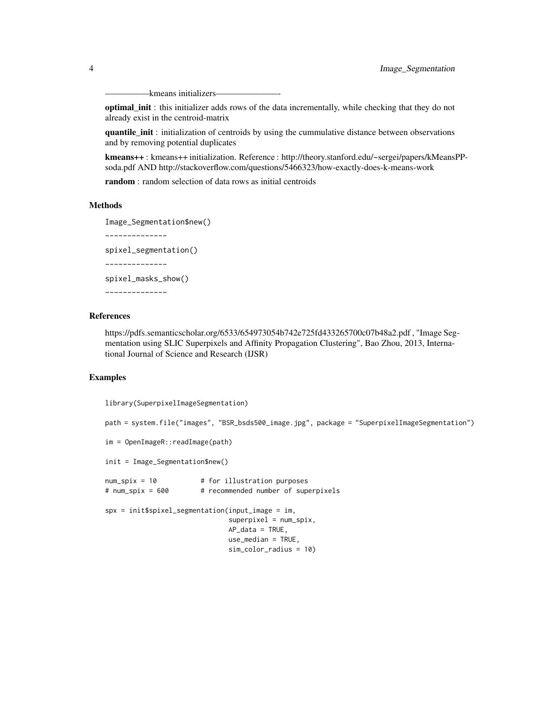-kmeans initializers-

optimal\_init : this initializer adds rows of the data incrementally, while checking that they do not already exist in the centroid-matrix

quantile\_init : initialization of centroids by using the cummulative distance between observations and by removing potential duplicates

kmeans++ : kmeans++ initialization. Reference : http://theory.stanford.edu/~sergei/papers/kMeansPPsoda.pdf AND http://stackoverflow.com/questions/5466323/how-exactly-does-k-means-work

random : random selection of data rows as initial centroids

#### Methods

Image\_Segmentation\$new()

--------------

spixel\_segmentation()

--------------

spixel\_masks\_show()

--------------

#### References

https://pdfs.semanticscholar.org/6533/654973054b742e725fd433265700c07b48a2.pdf , "Image Segmentation using SLIC Superpixels and Affinity Propagation Clustering", Bao Zhou, 2013, International Journal of Science and Research (IJSR)

#### Examples

library(SuperpixelImageSegmentation)

```
path = system.file("images", "BSR_bsds500_image.jpg", package = "SuperpixelImageSegmentation")
im = OpenImageR::readImage(path)
init = Image_Segmentation$new()
num\_spix = 10 # for illustration purposes
# num_spix = 600 # recommended number of superpixels
spx = init$spixel_segmentation(input_image = im,
                              supervised = num_spix,AP\_data = TRUE,
                              use median = TRUE.
                              sim_color_radius = 10)
```